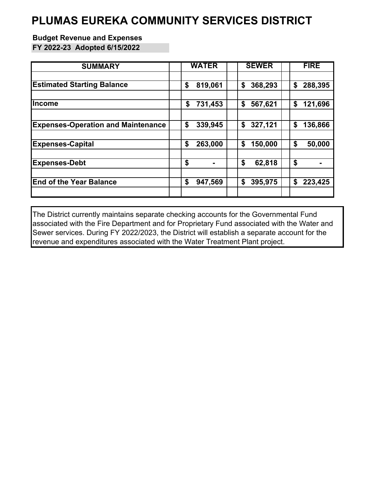### **PLUMAS EUREKA COMMUNITY SERVICES DISTRICT**

#### **Budget Revenue and Expenses**

**FY 2022-23 Adopted 6/15/2022**

| <b>SUMMARY</b>                            | <b>WATER</b> | <b>SEWER</b> | <b>FIRE</b> |
|-------------------------------------------|--------------|--------------|-------------|
| <b>Estimated Starting Balance</b>         | \$           | \$           | \$          |
|                                           | 819,061      | 368,293      | 288,395     |
| llncome                                   | 731,453      | \$           | \$          |
|                                           | \$           | 567,621      | 121,696     |
|                                           |              |              |             |
| <b>Expenses-Operation and Maintenance</b> | \$           | 327,121      | \$          |
|                                           | 339,945      | \$           | 136,866     |
| <b>Expenses-Capital</b>                   | \$           | \$           | \$          |
|                                           | 263,000      | 150,000      | 50,000      |
| <b>Expenses-Debt</b>                      | \$           | \$<br>62,818 | \$          |
| <b>End of the Year Balance</b>            | \$           | \$           | \$          |
|                                           | 947,569      | 395,975      | 223,425     |

The District currently maintains separate checking accounts for the Governmental Fund associated with the Fire Department and for Proprietary Fund associated with the Water and Sewer services. During FY 2022/2023, the District will establish a separate account for the revenue and expenditures associated with the Water Treatment Plant project.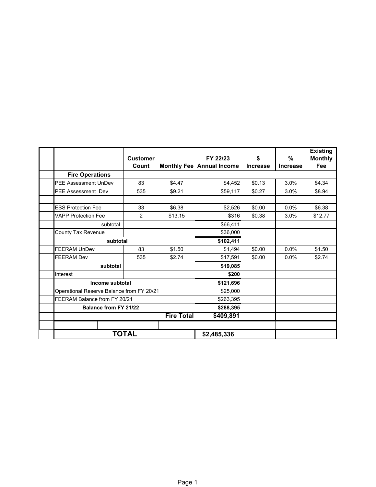|                                                                                                                                                                                  |                             |          | <b>Customer</b> |         | FY 22/23                  | \$              | %               | <b>Existing</b><br><b>Monthly</b> |
|----------------------------------------------------------------------------------------------------------------------------------------------------------------------------------|-----------------------------|----------|-----------------|---------|---------------------------|-----------------|-----------------|-----------------------------------|
|                                                                                                                                                                                  |                             |          | Count           |         | Monthly Fee Annual Income | <b>Increase</b> | <b>Increase</b> | Fee                               |
|                                                                                                                                                                                  | <b>Fire Operations</b>      |          |                 |         |                           |                 |                 |                                   |
|                                                                                                                                                                                  | <b>PEE Assessment UnDev</b> |          | 83              | \$4.47  | \$4,452                   | \$0.13          | 3.0%            | \$4.34                            |
|                                                                                                                                                                                  | <b>PEE Assessment Dev</b>   |          | 535             | \$9.21  | \$59,117                  | \$0.27          | 3.0%            | \$8.94                            |
|                                                                                                                                                                                  |                             |          |                 |         |                           |                 |                 |                                   |
|                                                                                                                                                                                  | <b>ESS Protection Fee</b>   |          | 33              | \$6.38  | \$2,526                   | \$0.00          | 0.0%            | \$6.38                            |
|                                                                                                                                                                                  | <b>VAPP Protection Fee</b>  |          | $\overline{2}$  | \$13.15 | \$316                     | \$0.38          | 3.0%            | \$12.77                           |
|                                                                                                                                                                                  |                             | subtotal |                 |         | \$66,411                  |                 |                 |                                   |
|                                                                                                                                                                                  | County Tax Revenue          |          |                 |         | \$36,000                  |                 |                 |                                   |
|                                                                                                                                                                                  |                             | subtotal |                 |         | \$102,411                 |                 |                 |                                   |
|                                                                                                                                                                                  | <b>FEERAM UnDev</b>         |          | 83              | \$1.50  | \$1,494                   | \$0.00          | 0.0%            | \$1.50                            |
|                                                                                                                                                                                  | <b>FEERAM Dev</b>           |          | 535             | \$2.74  | \$17,591                  | \$0.00          | 0.0%            | \$2.74                            |
|                                                                                                                                                                                  |                             | subtotal |                 |         | \$19,085                  |                 |                 |                                   |
|                                                                                                                                                                                  | Interest                    |          |                 |         | \$200                     |                 |                 |                                   |
|                                                                                                                                                                                  |                             |          |                 |         | \$121,696                 |                 |                 |                                   |
|                                                                                                                                                                                  |                             |          |                 |         | \$25,000                  |                 |                 |                                   |
|                                                                                                                                                                                  |                             |          |                 |         | \$263,395                 |                 |                 |                                   |
|                                                                                                                                                                                  |                             |          |                 |         | \$288,395                 |                 |                 |                                   |
|                                                                                                                                                                                  |                             |          |                 |         | \$409,891                 |                 |                 |                                   |
|                                                                                                                                                                                  |                             |          |                 |         |                           |                 |                 |                                   |
| Income subtotal<br>Operational Reserve Balance from FY 20/21<br>FEERAM Balance from FY 20/21<br><b>Balance from FY 21/22</b><br><b>Fire Total</b><br><b>TOTAL</b><br>\$2,485,336 |                             |          |                 |         |                           |                 |                 |                                   |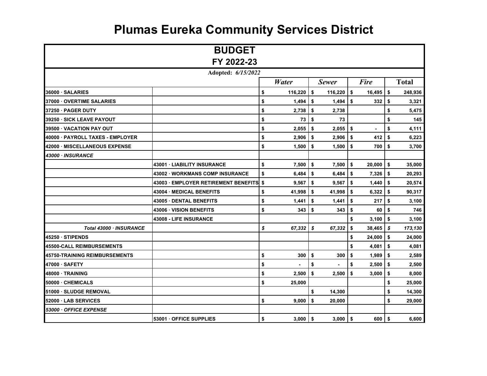|                                  | <b>BUDGET</b>                      |                  |               |     |             |               |
|----------------------------------|------------------------------------|------------------|---------------|-----|-------------|---------------|
|                                  | FY 2022-23                         |                  |               |     |             |               |
|                                  | Adopted: 6/15/2022                 |                  |               |     |             |               |
|                                  |                                    | <b>Water</b>     | <b>Sewer</b>  |     | <b>Fire</b> | <b>Total</b>  |
| 36000 SALARIES                   |                                    | \$<br>116,220    | \$<br>116,220 | \$  | 16,495      | \$<br>248,936 |
| 37000 OVERTIME SALARIES          |                                    | \$<br>1,494      | \$<br>1,494   | \$  | 332         | \$<br>3,321   |
| 37250 · PAGER DUTY               |                                    | \$<br>2,738      | \$<br>2,738   |     |             | \$<br>5,475   |
| 39250 · SICK LEAVE PAYOUT        |                                    | \$<br>73         | \$<br>73      |     |             | \$<br>145     |
| 39500 VACATION PAY OUT           |                                    | \$<br>2,055      | \$<br>2,055   | \$  | ×           | \$<br>4,111   |
| 40000 · PAYROLL TAXES - EMPLOYER |                                    | \$<br>2,906      | \$<br>2,906   | \$  | 412         | \$<br>6,223   |
| 42000 MISCELLANEOUS EXPENSE      |                                    | \$<br>1,500      | \$<br>1,500   | \$  | 700         | \$<br>3,700   |
| 43000 · INSURANCE                |                                    |                  |               |     |             |               |
|                                  | 43001 LIABILITY INSURANCE          | \$<br>7,500      | \$<br>7,500   | \$  | 20,000      | \$<br>35,000  |
|                                  | 43002 WORKMANS COMP INSURANCE      | \$<br>6,484      | \$<br>6,484   | \$  | $7,326$ \$  | 20,293        |
|                                  | 43003 EMPLOYER RETIREMENT BENEFITS | \$<br>9,567      | \$<br>9,567   | \$  | 1,440       | \$<br>20,574  |
|                                  | 43004 · MEDICAL BENEFITS           | \$<br>41,998     | \$<br>41,998  | \$  | 6,322       | \$<br>90,317  |
|                                  | 43005 DENTAL BENEFITS              | \$<br>1,441      | \$<br>1,441   | \$  | 217         | \$<br>3,100   |
|                                  | 43006 · VISION BENEFITS            | \$<br>343        | \$<br>343     | \$  | 60          | \$<br>746     |
|                                  | 43008 - LIFE INSURANCE             |                  |               | \$  | 3,100       | \$<br>3,100   |
| Total 43000 · INSURANCE          |                                    | \$<br>67,332     | \$<br>67,332  | \$  | 38,465      | \$<br>173,130 |
| 45250 STIPENDS                   |                                    |                  |               | \$  | 24,000      | \$<br>24,000  |
| 45500-CALL REIMBURSEMENTS        |                                    |                  |               | \$  | 4,081       | \$<br>4,081   |
| 45750-TRAINING REIMBURSEMENTS    |                                    | \$<br>300        | \$<br>300     | \$  | 1,989       | \$<br>2,589   |
| 47000 SAFETY                     |                                    | \$               | \$            | \$  | 2,500       | \$<br>2,500   |
| 48000 TRAINING                   |                                    | \$<br>2,500      | \$<br>2,500   | \$  | 3,000       | \$<br>8,000   |
| 50000 - CHEMICALS                |                                    | \$<br>25,000     |               |     |             | \$<br>25,000  |
| 51000 SLUDGE REMOVAL             |                                    |                  | \$<br>14,300  |     |             | \$<br>14,300  |
| 52000 · LAB SERVICES             |                                    | \$<br>9,000      | \$<br>20,000  |     |             | \$<br>29,000  |
| 53000 · OFFICE EXPENSE           |                                    |                  |               |     |             |               |
|                                  | 53001 · OFFICE SUPPLIES            | \$<br>$3,000$ \$ | 3,000         | -\$ | 600 I       | \$<br>6,600   |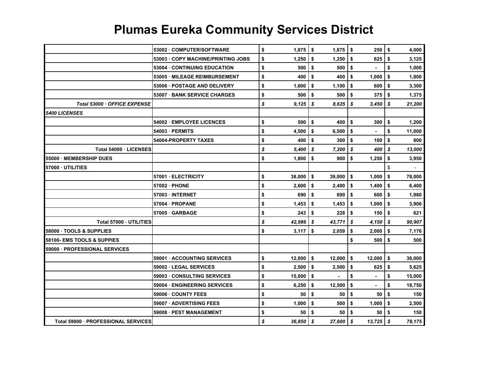|                                       | 53002 COMPUTER/SOFTWARE           | \$<br>1,875       | \$ | $1,875$   \$        | 250                  | \$<br>4,000  |
|---------------------------------------|-----------------------------------|-------------------|----|---------------------|----------------------|--------------|
|                                       | 53003 COPY MACHINE/PRINTING JOBS  | \$<br>1,250       | \$ | 1,250               | 625<br>5             | \$<br>3,125  |
|                                       | 53004 CONTINUING EDUCATION        | \$<br>500         | \$ | 500                 | \$                   | \$<br>1,000  |
|                                       | 53005 MILEAGE REIMBURSEMENT       | \$<br>400         | \$ | 400                 | 1,000<br>\$          | \$<br>1,800  |
|                                       | 53006 POSTAGE AND DELIVERY        | \$<br>1,600       | \$ | 1,100               | \$<br>600            | \$<br>3,300  |
|                                       | <b>53007 BANK SERVICE CHARGES</b> | \$<br>500         | \$ | 500                 | 375<br>\$            | \$<br>1,375  |
| Total 53000 · OFFICE EXPENSE          |                                   | \$<br>9,125       | S  | 8,625               | \$<br>3,450          | \$<br>21,200 |
| <i><b>5400 LICENSES</b></i>           |                                   |                   |    |                     |                      |              |
|                                       | 54002 EMPLOYEE LICENCES           | \$<br>500         | \$ | 400                 | \$<br>300            | \$<br>1,200  |
|                                       | 54003 PERMITS                     | \$<br>4,500       | \$ | 6,500               | -\$                  | \$<br>11,000 |
|                                       | 54004-PROPERTY TAXES              | \$<br>400         | \$ | 300                 | 100<br>\$            | \$<br>800    |
| Total 54000 · LICENSES                |                                   | \$<br>5,400       | \$ | 7,200               | \$<br>400            | \$<br>13,000 |
| 55000 MEMBERSHIP DUES                 |                                   | \$<br>1,800       | \$ | 900                 | \$<br>1,250          | \$<br>3,950  |
| 57000 · UTILITIES                     |                                   |                   |    |                     |                      | \$           |
|                                       | 57001 ELECTRICITY                 | \$<br>38,000      | \$ | 39,000              | \$<br>1,000          | \$<br>78,000 |
|                                       | 57002 PHONE                       | \$<br>2,600       | \$ | 2,400               | 1,400<br>-\$         | \$<br>6,400  |
|                                       | 57003 INTERNET                    | \$<br>690         | \$ | 690                 | -\$<br>600           | \$<br>1,980  |
|                                       | 57004 PROPANE                     | \$<br>1,453       | \$ | 1,453               | 1,000<br>\$          | \$<br>3,906  |
|                                       | 57005 GARBAGE                     | \$<br>243         | \$ | 228                 | -\$<br>150           | \$<br>621    |
| Total 57000 UTILITIES                 |                                   | \$<br>42,986      | \$ | 43,771              | 4,150<br>\$          | \$<br>90,907 |
| 58000 · TOOLS & SUPPLIES              |                                   | \$<br>3,117       | \$ | 2,059               | 2,000<br>\$          | \$<br>7,176  |
| <b>58100- EMS TOOLS &amp; SUPPIES</b> |                                   |                   |    |                     | \$<br>500            | \$<br>500    |
| 59000 - PROFESSIONAL SERVICES         |                                   |                   |    |                     |                      |              |
|                                       | 59001 ACCOUNTING SERVICES         | \$<br>12,000      | \$ | 12,000              | $\sqrt{2}$<br>12,000 | \$<br>36,000 |
|                                       | 59002 LEGAL SERVICES              | \$<br>2,500       | \$ | 2.500               | 625<br>-\$           | \$<br>5,625  |
|                                       | 59003 CONSULTING SERVICES         | \$<br>15,000      | \$ |                     | \$<br>$\blacksquare$ | \$<br>15,000 |
|                                       | 59004 ENGINEERING SERVICES        | \$<br>6,250       | \$ | 12,500              | \$                   | \$<br>18,750 |
|                                       | 59006 COUNTY FEES                 | \$<br>50          | \$ | 50                  | \$<br>50             | \$<br>150    |
|                                       | 59007 ADVERTISING FEES            | \$<br>1,000       | \$ | 500                 | 1,000<br>\$          | \$<br>2,500  |
|                                       | 59008 PEST MANAGEMENT             | \$<br>50          | \$ | 50                  | 50<br>\$             | \$<br>150    |
| Total 59000 - PROFESSIONAL SERVICES   |                                   | \$<br>$36,850$ \$ |    | $27.600$ $\sqrt{s}$ | $13,725$ \$          | 78,175       |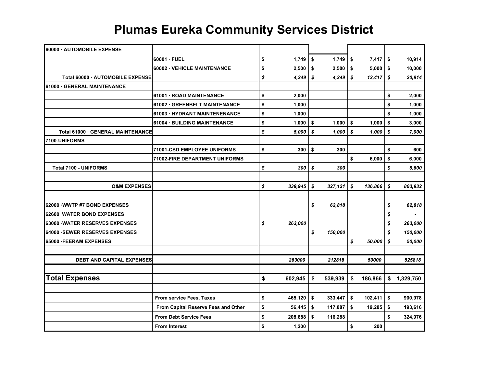| 60000 · AUTOMOBILE EXPENSE       |                                     |                    |    |         |                  |             |      |                |
|----------------------------------|-------------------------------------|--------------------|----|---------|------------------|-------------|------|----------------|
|                                  | 60001 · FUEL                        | \$<br>1,749        | \$ | 1,749   | \$               | 7,417       | \$   | 10,914         |
|                                  | 60002 · VEHICLE MAINTENANCE         | \$<br>2,500        | \$ | 2,500   | $\sqrt{2}$       | 5,000       | \$   | 10,000         |
| Total 60000 AUTOMOBILE EXPENSE   |                                     | \$<br>4,249        | \$ | 4,249   | \$               | $12,417$ \$ |      | 20,914         |
| 61000 · GENERAL MAINTENANCE      |                                     |                    |    |         |                  |             |      |                |
|                                  | 61001 ROAD MAINTENANCE              | \$<br>2,000        |    |         |                  |             | \$   | 2,000          |
|                                  | 61002 · GREENBELT MAINTENANCE       | \$<br>1,000        |    |         |                  |             | \$   | 1,000          |
|                                  | 61003 · HYDRANT MAINTENENANCE       | \$<br>1,000        |    |         |                  |             | \$   | 1,000          |
|                                  | 61004 · BUILDING MAINTENANCE        | \$<br>1,000        | \$ | 1,000   | $\sqrt{2}$       | 1,000       | \$   | 3,000          |
| Total 61000 GENERAL MAINTENANCE  |                                     | \$<br>5,000        | S  | 1,000   | s                | 1,000       | \$   | 7,000          |
| 7100-UNIFORMS                    |                                     |                    |    |         |                  |             |      |                |
|                                  | 71001-CSD EMPLOYEE UNIFORMS         | \$<br>300          | \$ | 300     |                  |             | \$   | 600            |
|                                  | 71002-FIRE DEPARTMENT UNIFORMS      |                    |    |         | \$               | 6,000       | \$   | 6,000          |
| <b>Total 7100 - UNIFORMS</b>     |                                     | \$<br>300          | \$ | 300     |                  |             | \$   | 6,600          |
|                                  |                                     |                    |    |         |                  |             |      |                |
| <b>O&amp;M EXPENSES</b>          |                                     | \$<br>339,945      | S  | 327,121 | $\boldsymbol{s}$ | 136,866     | s    | 803,932        |
|                                  |                                     |                    |    |         |                  |             |      |                |
| 62000 WWTP #7 BOND EXPENSES      |                                     |                    | \$ | 62,818  |                  |             | \$   | 62,818         |
| 62600 WATER BOND EXPENSES        |                                     |                    |    |         |                  |             | \$   | $\blacksquare$ |
| 63000 WATER RESERVES EXPENSES    |                                     | \$<br>263,000      |    |         |                  |             | \$   | 263,000        |
| 64000 SEWER RESERVES EXPENSES    |                                     |                    | \$ | 150,000 |                  |             | \$   | 150,000        |
| <b>65000 FEERAM EXPENSES</b>     |                                     |                    |    |         | \$               | 50,000      | \$   | 50,000         |
|                                  |                                     |                    |    |         |                  |             |      |                |
| <b>DEBT AND CAPITAL EXPENSES</b> |                                     | 263000             |    | 212818  |                  | 50000       |      | 525818         |
|                                  |                                     |                    |    |         |                  |             |      |                |
| <b>Total Expenses</b>            |                                     | \$<br>602,945      | \$ | 539,939 | \$               | 186,866     |      | \$ 1,329,750   |
|                                  |                                     |                    |    |         |                  |             |      |                |
|                                  | From service Fees, Taxes            | \$<br>$465,120$ \$ |    | 333,447 | $\sqrt{2}$       | 102,411     | \$ ا | 900,978        |
|                                  | From Capital Reserve Fees and Other | \$<br>56,445       | \$ | 117,887 | \$               | 19,285      | \$   | 193,616        |
|                                  | <b>From Debt Service Fees</b>       | \$<br>208,688      | \$ | 116,288 |                  |             | \$   | 324,976        |
|                                  | <b>From Interest</b>                | \$<br>1,200        |    |         | \$               | 200         |      |                |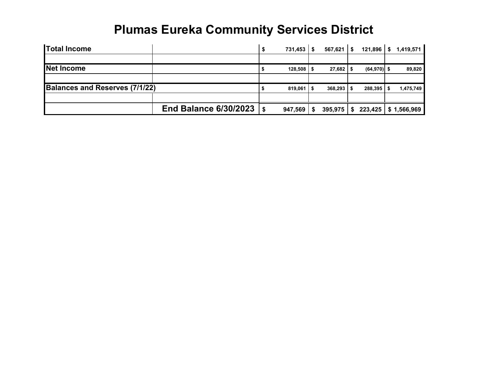| <b>Total Income</b>            |                              | 731.453       | S. | $567,621$   \$          | 121,896              | -SS | 1,419,571   |
|--------------------------------|------------------------------|---------------|----|-------------------------|----------------------|-----|-------------|
|                                |                              |               |    |                         |                      |     |             |
| Net Income                     |                              | 128,508       |    | $27.682$ \$             | $(64,970)$ \$        |     | 89,820      |
|                                |                              |               |    |                         |                      |     |             |
| Balances and Reserves (7/1/22) |                              | 819,061       |    | $368,293$ $\frac{1}{5}$ | $288,395$ $\sqrt{5}$ |     | 1,475,749   |
|                                |                              |               |    |                         |                      |     |             |
|                                | <b>End Balance 6/30/2023</b> | \$<br>947,569 |    | 395,975                 | 223,425              |     | \$1,566,969 |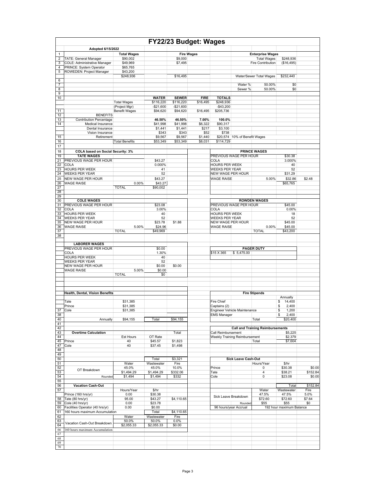|                     |                                                              |                       |                           |                           | FY22/23 Budget: Wages   |                                                |                               |                                         |                          |                    |
|---------------------|--------------------------------------------------------------|-----------------------|---------------------------|---------------------------|-------------------------|------------------------------------------------|-------------------------------|-----------------------------------------|--------------------------|--------------------|
|                     | Adopted 6/15/2022                                            |                       |                           |                           |                         |                                                |                               |                                         |                          |                    |
| $\mathbf{1}$        |                                                              | <b>Total Wages</b>    |                           | <b>Fire Wages</b>         |                         |                                                |                               | <b>Enterprise Wages</b>                 |                          |                    |
| $\overline{2}$<br>3 | <b>TATE: General Manager</b><br>COLE: Administrative Manager | \$90,002<br>\$49,969  |                           | \$9,000<br>\$7,495        |                         |                                                |                               | <b>Total Wages</b><br>Fire Contribution | \$248,936<br>(\$16,495)  |                    |
| 4                   | PRINCE: System Operator                                      | \$65.765              |                           |                           |                         |                                                |                               |                                         |                          |                    |
| 5                   | ROWEDEN: Project Manager                                     | \$43,200              |                           |                           |                         |                                                |                               |                                         |                          |                    |
| 6                   |                                                              | \$248,936             |                           | \$16,495                  |                         |                                                |                               | Water/Sewer Total Wages                 | \$232,440                |                    |
| $\overline{7}$      |                                                              |                       |                           |                           |                         |                                                | Water %                       | 50.00%                                  | \$0                      |                    |
| 8                   |                                                              |                       |                           |                           |                         |                                                | Sewer %                       | 50.00%                                  | \$0                      |                    |
| 9                   |                                                              |                       |                           |                           |                         |                                                |                               |                                         |                          |                    |
| 10                  |                                                              | <b>Total Wages</b>    | <b>WATER</b><br>\$116,220 | <b>SEWER</b><br>\$116,220 | <b>FIRE</b><br>\$16,495 | <b>TOTALS</b><br>\$248,936                     |                               |                                         |                          |                    |
|                     |                                                              | (Project Mgr)         | $-$21,600$                | $-$21,600$                |                         | $-$43,200$                                     |                               |                                         |                          |                    |
| 11                  |                                                              | <b>Benefit Wages</b>  | \$94,620                  | \$94,620                  | \$16,495                | \$205,736                                      |                               |                                         |                          |                    |
| 12                  | <b>BENEFITS</b>                                              |                       |                           |                           |                         |                                                |                               |                                         |                          |                    |
| 13<br>14            | <b>Contribution Percentage</b><br>Medical Insurance          |                       | 46.50%<br>\$41,998        | 46.50%<br>\$41,998        | 7.00%<br>\$6,322        | 100.0%<br>\$90,317                             |                               |                                         |                          |                    |
|                     | Dental Insurance                                             |                       | \$1,441                   | \$1,441                   | \$217                   | \$3,100                                        |                               |                                         |                          |                    |
|                     | Vision Insurance                                             |                       | \$343                     | \$343                     | \$52                    | \$738                                          |                               |                                         |                          |                    |
| 15                  | Retirement                                                   |                       | \$9,567                   | \$9,567                   | \$1,440                 |                                                | \$20,574 10% of Benefit Wages |                                         |                          |                    |
| 16<br>17            |                                                              | <b>Total Benefits</b> | \$53,349                  | \$53,349                  | \$8,031                 | \$114,729                                      |                               |                                         |                          |                    |
| 18                  | COLA based on Social Security: 3%                            |                       |                           |                           |                         |                                                |                               | <b>PRINCE WAGES</b>                     |                          |                    |
| 19                  | <b>TATE WAGES</b>                                            |                       |                           |                           |                         | PREVIOUS WAGE PER HOUR                         |                               |                                         | \$30.38                  |                    |
| 21                  | PREVIOUS WAGE PER HOUR                                       |                       | \$43.27                   |                           |                         | <b>COLA</b>                                    |                               |                                         | 3.000%                   |                    |
| 22<br>23            | COLA<br><b>HOURS PER WEEK</b>                                |                       | 0.000%<br>41              |                           |                         | <b>HOURS PER WEEK</b><br><b>WEEKS PER YEAR</b> |                               |                                         | 40<br>52                 |                    |
| 24                  | <b>WEEKS PER YEAR</b>                                        |                       | 52                        |                           |                         | NEW WAGE PER HOUR                              |                               |                                         | \$31.29                  |                    |
| 25                  | <b>NEW WAGE PER HOUR</b>                                     |                       | \$43.27                   |                           |                         | <b>WAGE RAISE</b>                              |                               | 5.00%                                   | \$32.86                  | \$2.48             |
| 26                  | <b>WAGE RAISE</b>                                            | 0.00%                 | \$43.27                   |                           |                         |                                                |                               |                                         | \$65,765                 |                    |
| 27<br>28            |                                                              | <b>TOTAL</b>          | \$90,002                  |                           |                         |                                                |                               |                                         |                          |                    |
| 29                  |                                                              |                       |                           |                           |                         |                                                |                               |                                         |                          |                    |
| 30                  | <b>COLE WAGES</b>                                            |                       |                           |                           |                         |                                                |                               | <b>ROWDEN WAGES</b>                     |                          |                    |
| 31                  | PREVIOUS WAGE PER HOUR                                       |                       | \$23.08                   |                           |                         | PREVIOUS WAGE PER HOUR                         |                               |                                         | \$45.00                  |                    |
| 32<br>33            | COLA<br><b>HOURS PER WEEK</b>                                |                       | 3.00%<br>40               |                           |                         | <b>COLA</b><br><b>HOURS PER WEEK</b>           |                               |                                         | 0.00%<br>18              |                    |
| 34                  | <b>WEEKS PER YEAR</b>                                        |                       | 52                        |                           |                         | <b>WEEKS PER YEAR</b>                          |                               |                                         | 52                       |                    |
| 35                  | <b>NEW WAGE PER HOUR</b>                                     |                       | \$23.78                   | \$1.88                    |                         | NEW WAGE PER HOUR                              |                               |                                         | \$45.00                  |                    |
| 36<br>37            | <b>WAGE RAISE</b>                                            | 5.00%<br><b>TOTAL</b> | \$24.96<br>\$49,969       |                           |                         | <b>WAGE RAISE</b>                              |                               | 0.00%<br><b>TOTAL</b>                   | \$45.00<br>\$43,200      |                    |
| 38                  |                                                              |                       |                           |                           |                         |                                                |                               |                                         |                          |                    |
|                     |                                                              |                       |                           |                           |                         |                                                |                               |                                         |                          |                    |
|                     | <b>LABORER WAGES</b><br>PREVIOUS WAGE PER HOUR               |                       | \$0.00                    |                           |                         |                                                |                               | <b>PAGER DUTY</b>                       |                          |                    |
|                     | COLA                                                         |                       | 1.30%                     |                           |                         | \$15 X 365                                     | \$5,475.00                    |                                         |                          |                    |
|                     | <b>HOURS PER WEEK</b>                                        |                       | 40                        |                           |                         |                                                |                               |                                         |                          |                    |
|                     | <b>WEEKS PER YEAR</b><br>NEW WAGE PER HOUR                   |                       | 52<br>\$0.00              | \$0.00                    |                         |                                                |                               |                                         |                          |                    |
|                     | <b>WAGE RAISE</b>                                            | 5.00%                 | \$0.00                    |                           |                         |                                                |                               |                                         |                          |                    |
|                     |                                                              | <b>TOTAL</b>          | \$0                       |                           |                         |                                                |                               |                                         |                          |                    |
|                     |                                                              |                       |                           |                           |                         |                                                |                               |                                         |                          |                    |
|                     |                                                              |                       |                           |                           |                         |                                                |                               |                                         |                          |                    |
|                     | Health, Dental, Vision Benefits                              |                       |                           |                           |                         |                                                |                               | <b>Fire Stipends</b>                    |                          |                    |
|                     | Tate                                                         |                       |                           |                           |                         | Fire Chief                                     |                               |                                         | Annually<br>14,400       |                    |
|                     | Prince                                                       | \$31,385<br>\$31,385  |                           |                           |                         | Captains (2)                                   |                               |                                         | \$<br>2,400<br>\$        |                    |
| 37                  | Cole                                                         | \$31,385              |                           |                           |                         | Engineer Vehicle Maintenance                   |                               |                                         | \$<br>1,200              |                    |
| 38                  |                                                              |                       |                           |                           |                         | <b>EMS Manager</b>                             |                               |                                         | \$<br>2,400              |                    |
| 40<br>41            | Annually                                                     | \$94,155              | Total                     | \$94,155                  |                         |                                                |                               | Total                                   | \$20,400                 |                    |
| 42                  |                                                              |                       |                           |                           |                         |                                                |                               | <b>Call and Training Reimbursements</b> |                          |                    |
| 43                  | <b>Overtime Calculation</b>                                  |                       |                           | Total                     |                         | Call Reimbursement                             |                               |                                         | \$5,225                  |                    |
| 44<br>45            | Prince                                                       | Est Hours<br>40       | OT Rate<br>\$45.57        | \$1,823                   |                         | Weekly Training Reimbursement                  |                               | Total                                   | \$2,379<br>\$7,604       |                    |
| 47                  | Cole                                                         | 40                    | \$37.45                   | \$1,498                   |                         |                                                |                               |                                         |                          |                    |
| 48                  |                                                              |                       |                           |                           |                         |                                                |                               |                                         |                          |                    |
| 49<br>50            |                                                              |                       | Total                     | \$3,321                   |                         |                                                | <b>Sick Leave Cash-Out</b>    |                                         |                          |                    |
| 51                  |                                                              | Water                 | Wastewater                | Fire                      |                         |                                                |                               | Hours/Year                              | \$/hr                    |                    |
| 52                  | OT Breakdown                                                 | 45.0%                 | 45.0%                     | 10.0%                     |                         | Prince                                         |                               | 0                                       | \$30.38                  | \$0.00             |
| 53<br>54            | Rounded                                                      | \$1,494.29<br>\$1,494 | \$1,494.29<br>\$1,494     | \$332.06<br>\$332         |                         | Tate<br>Cole                                   |                               | 4<br>0                                  | \$38.21<br>\$23.08       | \$152.84<br>\$0.00 |
| 55                  |                                                              |                       |                           |                           |                         |                                                |                               |                                         |                          |                    |
| 56                  | <b>Vacation Cash-Out</b>                                     |                       |                           |                           |                         |                                                |                               |                                         | Total                    | \$152.84           |
| 57                  |                                                              | Hours/Year            | \$/hr                     |                           |                         |                                                |                               | Water                                   | Wastewater               | Fire               |
| 58                  | Prince (160 hrs/yr)<br>Tate (80 hrs/yr)                      | 0.00<br>95.00         | \$30.38<br>\$43.27        | \$4,110.65                |                         | Sick Leave Breakdown                           |                               | 47.5%<br>\$72.60                        | 47.5%<br>\$72.60         | 5.0%<br>\$7.64     |
| 59                  | Cole (40 hrs/yr)                                             | 0.00                  | \$23.78                   |                           |                         |                                                | Rounded                       | \$55                                    | \$55                     | \$0                |
| 60                  | Facilities Operator (40 hrs/yr)                              | 0.00                  | \$0.00                    |                           |                         | 96 hours/year Accrual                          |                               |                                         | 192 hour maximum Balance |                    |
| 61<br>62            | 160 hours maximum Accumulation                               | Water                 | Total<br>Wastewater       | \$4,110.65<br>Fire        |                         |                                                |                               |                                         |                          |                    |
| 63                  |                                                              | 50.0%                 | 50.0%                     | 0.0%                      |                         |                                                |                               |                                         |                          |                    |
| 64                  | Vacation Cash-Out Breakdown                                  | \$2,055.33            | \$2,055.33                | \$0.00                    |                         |                                                |                               |                                         |                          |                    |
| 66                  | 160 hours maximum Accumulation                               |                       |                           |                           |                         |                                                |                               |                                         |                          |                    |
| 67<br>68            |                                                              |                       |                           |                           |                         |                                                |                               |                                         |                          |                    |
| 69                  |                                                              |                       |                           |                           |                         |                                                |                               |                                         |                          |                    |
| 70                  |                                                              |                       |                           |                           |                         |                                                |                               |                                         |                          |                    |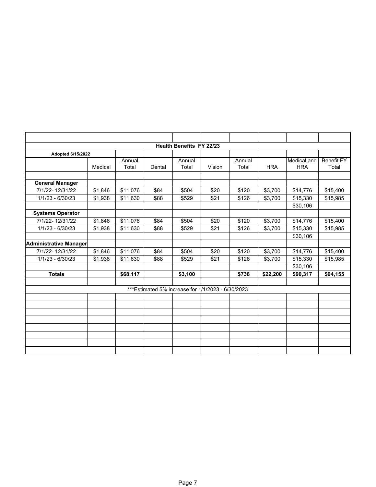|                         |         |                 |        | Health Benefits FY 22/23                           |        |                 |            |                           |                            |
|-------------------------|---------|-----------------|--------|----------------------------------------------------|--------|-----------------|------------|---------------------------|----------------------------|
| Adopted 6/15/2022       |         |                 |        |                                                    |        |                 |            |                           |                            |
|                         | Medical | Annual<br>Total | Dental | Annual<br>Total                                    | Vision | Annual<br>Total | <b>HRA</b> | Medical and<br><b>HRA</b> | <b>Benefit FY</b><br>Total |
|                         |         |                 |        |                                                    |        |                 |            |                           |                            |
| <b>General Manager</b>  |         |                 |        |                                                    |        |                 |            |                           |                            |
| 7/1/22-12/31/22         | \$1,846 | \$11,076        | \$84   | \$504                                              | \$20   | \$120           | \$3,700    | \$14,776                  | \$15,400                   |
| 1/1/23 - 6/30/23        | \$1,938 | \$11,630        | \$88   | \$529                                              | \$21   | \$126           | \$3,700    | \$15,330                  | \$15,985                   |
|                         |         |                 |        |                                                    |        |                 |            | \$30,106                  |                            |
| <b>Systems Operator</b> |         |                 |        |                                                    |        |                 |            |                           |                            |
| 7/1/22-12/31/22         | \$1,846 | \$11,076        | \$84   | \$504                                              | \$20   | \$120           | \$3,700    | \$14,776                  | \$15,400                   |
| 1/1/23 - 6/30/23        | \$1,938 | \$11,630        | \$88   | \$529                                              | \$21   | \$126           | \$3,700    | \$15,330                  | \$15,985                   |
|                         |         |                 |        |                                                    |        |                 |            | \$30,106                  |                            |
| Administrative Manager  |         |                 |        |                                                    |        |                 |            |                           |                            |
| 7/1/22-12/31/22         | \$1,846 | \$11,076        | \$84   | \$504                                              | \$20   | \$120           | \$3,700    | \$14,776                  | \$15,400                   |
| 1/1/23 - 6/30/23        | \$1,938 | \$11,630        | \$88   | \$529                                              | \$21   | \$126           | \$3,700    | \$15,330                  | \$15,985                   |
|                         |         |                 |        |                                                    |        |                 |            | \$30,106                  |                            |
| <b>Totals</b>           |         | \$68,117        |        | \$3,100                                            |        | \$738           | \$22,200   | \$90,317                  | \$94,155                   |
|                         |         |                 |        |                                                    |        |                 |            |                           |                            |
|                         |         |                 |        | *** Estimated 5% increase for 1/1/2023 - 6/30/2023 |        |                 |            |                           |                            |
|                         |         |                 |        |                                                    |        |                 |            |                           |                            |
|                         |         |                 |        |                                                    |        |                 |            |                           |                            |
|                         |         |                 |        |                                                    |        |                 |            |                           |                            |
|                         |         |                 |        |                                                    |        |                 |            |                           |                            |
|                         |         |                 |        |                                                    |        |                 |            |                           |                            |
|                         |         |                 |        |                                                    |        |                 |            |                           |                            |
|                         |         |                 |        |                                                    |        |                 |            |                           |                            |
|                         |         |                 |        |                                                    |        |                 |            |                           |                            |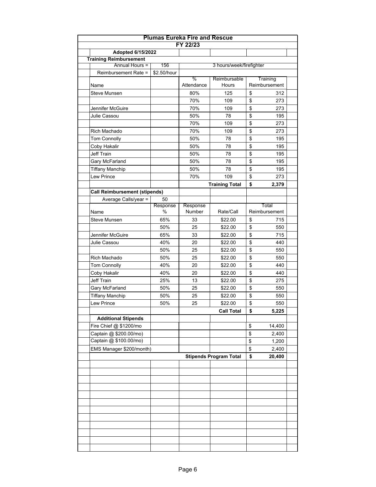|                                                    |                  | <b>Plumas Eureka Fire and Rescue</b><br>FY 22/23 |                               |                   |  |
|----------------------------------------------------|------------------|--------------------------------------------------|-------------------------------|-------------------|--|
|                                                    |                  |                                                  |                               |                   |  |
| Adopted 6/15/2022<br><b>Training Reimbursement</b> |                  |                                                  |                               |                   |  |
| Annual Hours =                                     | 156              |                                                  | 3 hours/week/firefighter      |                   |  |
| Reimbursement Rate =                               | \$2.50/hour      |                                                  |                               |                   |  |
|                                                    |                  | %                                                | Reimbursable                  | Training          |  |
| Name                                               |                  | Attendance                                       | Hours                         | Reimbursement     |  |
| Steve Munsen                                       |                  | 80%                                              | 125                           | \$<br>312         |  |
|                                                    |                  | 70%                                              | 109                           | \$<br>273         |  |
| Jennifer McGuire                                   |                  | 70%                                              | 109                           | \$<br>273         |  |
| Julie Cassou                                       |                  | 50%                                              | 78                            | \$<br>195         |  |
|                                                    |                  | 70%                                              | 109                           | \$<br>273         |  |
| Rich Machado                                       |                  | 70%                                              | 109                           | \$<br>273         |  |
| Tom Connolly                                       |                  | 50%                                              | 78                            | \$<br>195         |  |
| Coby Hakalir                                       |                  | 50%                                              | 78                            | \$<br>195         |  |
| Jeff Train                                         |                  | 50%                                              | 78                            | \$<br>195         |  |
| Gary McFarland                                     |                  | 50%                                              | 78                            | \$<br>195         |  |
| <b>Tiffany Manchip</b>                             |                  | 50%                                              | 78                            | \$<br>195         |  |
| Lew Prince                                         |                  | 70%                                              | 109                           | \$<br>273         |  |
|                                                    |                  |                                                  | <b>Training Total</b>         | \$<br>2,379       |  |
| <b>Call Reimbursement (stipends)</b>               |                  |                                                  |                               |                   |  |
| Average Calls/year =                               | 50               |                                                  |                               |                   |  |
|                                                    | Response<br>$\%$ | Response<br>Number                               | Rate/Call                     | Total             |  |
| Name                                               |                  |                                                  |                               | Reimbursement     |  |
| <b>Steve Munsen</b>                                | 65%              | 33                                               | \$22.00                       | \$<br>715         |  |
|                                                    | 50%              | 25                                               | \$22.00                       | \$<br>550         |  |
| Jennifer McGuire                                   | 65%              | 33                                               | \$22.00                       | \$<br>715         |  |
| Julie Cassou                                       | 40%              | 20                                               | \$22.00                       | \$<br>440         |  |
|                                                    | 50%              | 25                                               | \$22.00                       | \$<br>550<br>\$   |  |
| Rich Machado                                       | 50%              | 25                                               | \$22.00                       | 550               |  |
| Tom Connolly                                       | 40%              | 20                                               | \$22.00                       | \$<br>440<br>\$   |  |
| Coby Hakalir                                       | 40%              | 20                                               | \$22.00                       | 440               |  |
| Jeff Train                                         | 25%              | 13                                               | \$22.00                       | \$<br>275<br>\$   |  |
| Gary McFarland                                     | 50%              | 25                                               | \$22.00                       | 550               |  |
| <b>Tiffany Manchip</b>                             | 50%              | 25                                               | \$22.00                       | \$<br>550         |  |
| Lew Prince                                         | 50%              | 25                                               | \$22.00                       | \$<br>550         |  |
|                                                    |                  |                                                  | <b>Call Total</b>             | \$<br>5,225       |  |
| <b>Additional Stipends</b>                         |                  |                                                  |                               |                   |  |
| Fire Chief @ \$1200/mo                             |                  |                                                  |                               | \$<br>14,400      |  |
| Captain @ \$200.00/mo)<br>Captain @ \$100.00/mo)   |                  |                                                  |                               | \$<br>2,400       |  |
|                                                    |                  |                                                  |                               | \$<br>1,200       |  |
| EMS Manager \$200/month)                           |                  |                                                  |                               | \$<br>2,400<br>\$ |  |
|                                                    |                  |                                                  | <b>Stipends Program Total</b> | 20,400            |  |
|                                                    |                  |                                                  |                               |                   |  |
|                                                    |                  |                                                  |                               |                   |  |
|                                                    |                  |                                                  |                               |                   |  |
|                                                    |                  |                                                  |                               |                   |  |
|                                                    |                  |                                                  |                               |                   |  |
|                                                    |                  |                                                  |                               |                   |  |
|                                                    |                  |                                                  |                               |                   |  |
|                                                    |                  |                                                  |                               |                   |  |
|                                                    |                  |                                                  |                               |                   |  |
|                                                    |                  |                                                  |                               |                   |  |
|                                                    |                  |                                                  |                               |                   |  |
|                                                    |                  |                                                  |                               |                   |  |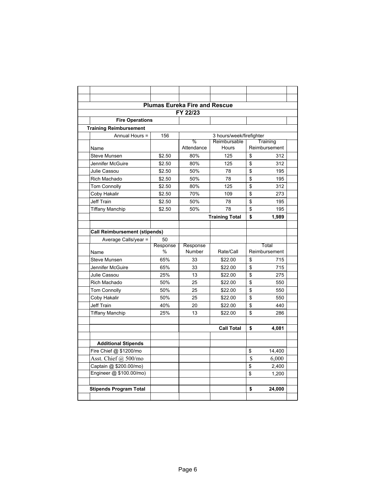|                                      |          | <b>Plumas Eureka Fire and Rescue</b> |                          |                         |               |
|--------------------------------------|----------|--------------------------------------|--------------------------|-------------------------|---------------|
|                                      |          | FY 22/23                             |                          |                         |               |
| <b>Fire Operations</b>               |          |                                      |                          |                         |               |
| <b>Training Reimbursement</b>        |          |                                      |                          |                         |               |
| Annual Hours =                       | 156      |                                      | 3 hours/week/firefighter |                         |               |
|                                      |          | %                                    | Reimbursable             |                         | Training      |
| Name                                 |          | Attendance                           | Hours                    |                         | Reimbursement |
| Steve Munsen                         | \$2.50   | 80%                                  | 125                      | \$                      | 312           |
| Jennifer McGuire                     | \$2.50   | 80%                                  | 125                      | \$                      | 312           |
| Julie Cassou                         | \$2.50   | 50%                                  | 78                       | \$                      | 195           |
| Rich Machado                         | \$2.50   | 50%                                  | 78                       | \$                      | 195           |
| <b>Tom Connolly</b>                  | \$2.50   | 80%                                  | 125                      | \$                      | 312           |
| Coby Hakalir                         | \$2.50   | 70%                                  | 109                      | \$                      | 273           |
| Jeff Train                           | \$2.50   | 50%                                  | 78                       | \$                      | 195           |
| <b>Tiffany Manchip</b>               | \$2.50   | 50%                                  | 78                       | \$                      | 195           |
|                                      |          |                                      | <b>Training Total</b>    | \$                      | 1,989         |
|                                      |          |                                      |                          |                         |               |
| <b>Call Reimbursement (stipends)</b> |          |                                      |                          |                         |               |
| Average Calls/year =                 | 50       |                                      |                          |                         |               |
|                                      | Response | Response                             |                          |                         | Total         |
| Name                                 | $\%$     | Number                               | Rate/Call                |                         | Reimbursement |
| <b>Steve Munsen</b>                  | 65%      | 33                                   | \$22.00                  | \$                      | 715           |
| Jennifer McGuire                     | 65%      | 33                                   | \$22.00                  | \$                      | 715           |
| Julie Cassou                         | 25%      | 13                                   | \$22.00                  | \$                      | 275           |
| Rich Machado                         | 50%      | 25                                   | \$22.00                  | \$                      | 550           |
| <b>Tom Connolly</b>                  | 50%      | 25                                   | \$22.00                  | \$                      | 550           |
| Coby Hakalir                         | 50%      | 25                                   | \$22.00                  | \$                      | 550           |
| <b>Jeff Train</b>                    | 40%      | 20                                   | \$22.00                  | \$                      | 440           |
| <b>Tiffany Manchip</b>               | 25%      | 13                                   | \$22.00                  | \$                      | 286           |
|                                      |          |                                      |                          |                         |               |
|                                      |          |                                      | <b>Call Total</b>        | \$                      | 4,081         |
|                                      |          |                                      |                          |                         |               |
| <b>Additional Stipends</b>           |          |                                      |                          |                         |               |
| Fire Chief @ \$1200/mo               |          |                                      |                          | \$                      | 14,400        |
| Asst. Chief @ 500/mo                 |          |                                      |                          | $\overline{\mathbb{S}}$ | 6,000         |
| Captain @ \$200.00/mo)               |          |                                      |                          | \$                      | 2,400         |
| Engineer @ \$100.00/mo)              |          |                                      |                          | \$                      | 1,200         |
|                                      |          |                                      |                          |                         |               |
| <b>Stipends Program Total</b>        |          |                                      |                          | \$                      | 24,000        |
|                                      |          |                                      |                          |                         |               |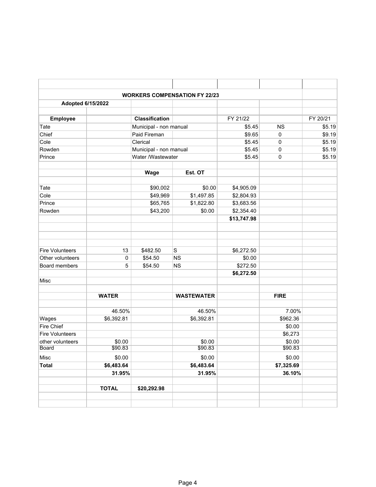|                        |              |                        | <b>WORKERS COMPENSATION FY 22/23</b> |             |             |          |
|------------------------|--------------|------------------------|--------------------------------------|-------------|-------------|----------|
| Adopted 6/15/2022      |              |                        |                                      |             |             |          |
| Employee               |              | <b>Classification</b>  |                                      | FY 21/22    |             | FY 20/21 |
| Tate                   |              | Municipal - non manual |                                      | \$5.45      | <b>NS</b>   | \$5.19   |
| Chief                  |              | Paid Fireman           |                                      | \$9.65      | $\mathbf 0$ | \$9.19   |
| Cole                   |              | Clerical               |                                      | \$5.45      | 0           | \$5.19   |
| Rowden                 |              | Municipal - non manual |                                      | \$5.45      | 0           | \$5.19   |
| Prince                 |              | Water /Wastewater      |                                      | \$5.45      | 0           | \$5.19   |
|                        |              | Wage                   | Est. OT                              |             |             |          |
| Tate                   |              | \$90,002               | \$0.00                               | \$4,905.09  |             |          |
| Cole                   |              | \$49,969               | \$1,497.85                           | \$2,804.93  |             |          |
| Prince                 |              | \$65,765               | \$1,822.80                           | \$3,683.56  |             |          |
| Rowden                 |              | \$43,200               | \$0.00                               | \$2,354.40  |             |          |
|                        |              |                        |                                      | \$13,747.98 |             |          |
|                        |              |                        |                                      |             |             |          |
| <b>Fire Volunteers</b> | 13           | \$482.50               | $\mathsf S$                          | \$6,272.50  |             |          |
| Other volunteers       | 0            | \$54.50                | <b>NS</b>                            | \$0.00      |             |          |
| Board members          | 5            | \$54.50                | <b>NS</b>                            | \$272.50    |             |          |
| Misc                   |              |                        |                                      | \$6,272.50  |             |          |
|                        |              |                        |                                      |             |             |          |
|                        | <b>WATER</b> |                        | <b>WASTEWATER</b>                    |             | <b>FIRE</b> |          |
|                        | 46.50%       |                        | 46.50%                               |             | 7.00%       |          |
| Wages                  | \$6,392.81   |                        | \$6,392.81                           |             | \$962.36    |          |
| Fire Chief             |              |                        |                                      |             | \$0.00      |          |
| <b>Fire Volunteers</b> |              |                        |                                      |             | \$6,273     |          |
| other volunteers       | \$0.00       |                        | \$0.00                               |             | \$0.00      |          |
| <b>Board</b>           | \$90.83      |                        | \$90.83                              |             | \$90.83     |          |
| Misc                   | \$0.00       |                        | \$0.00                               |             | \$0.00      |          |
| <b>Total</b>           | \$6,483.64   |                        | \$6,483.64                           |             | \$7,325.69  |          |
|                        | 31.95%       |                        | 31.95%                               |             | 36.10%      |          |
|                        | <b>TOTAL</b> | \$20,292.98            |                                      |             |             |          |
|                        |              |                        |                                      |             |             |          |
|                        |              |                        |                                      |             |             |          |
|                        |              |                        |                                      |             |             |          |